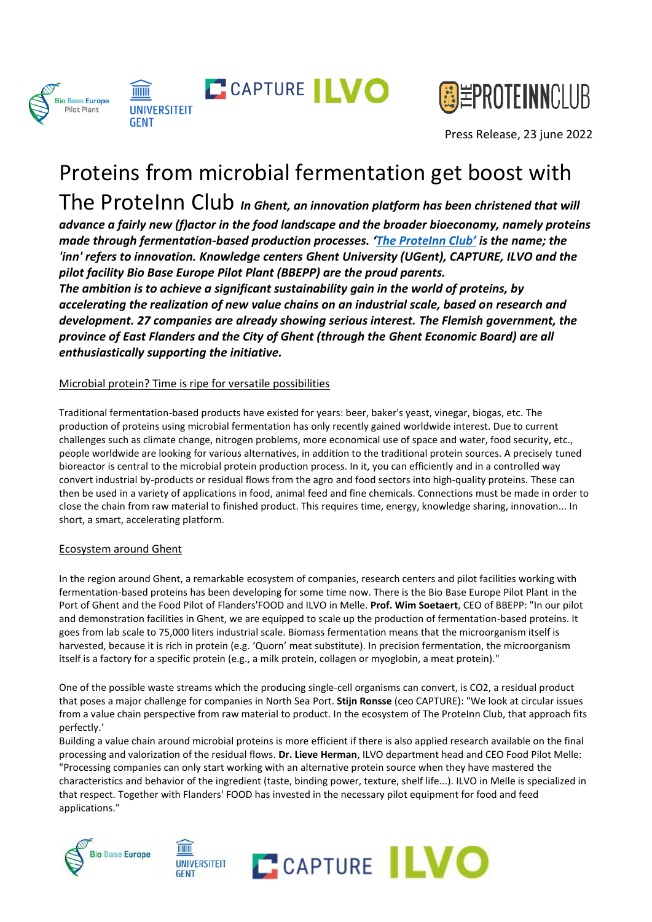



Press Release, 23 june 2022

# Proteins from microbial fermentation get boost with

The ProteInn Club *In Ghent, an innovation platform has been christened that will advance a fairly new (f)actor in the food landscape and the broader bioeconomy, namely proteins made through fermentation-based production processes. ['The ProteInn Club'](https://theproteinnclub.eu/nl/home-nederlands/) is the name; the 'inn' refers to innovation. Knowledge centers Ghent University (UGent), CAPTURE, ILVO and the pilot facility Bio Base Europe Pilot Plant (BBEPP) are the proud parents.* 

*The ambition is to achieve a significant sustainability gain in the world of proteins, by accelerating the realization of new value chains on an industrial scale, based on research and development. 27 companies are already showing serious interest. The Flemish government, the province of East Flanders and the City of Ghent (through the Ghent Economic Board) are all enthusiastically supporting the initiative.* 

## Microbial protein? Time is ripe for versatile possibilities

Traditional fermentation-based products have existed for years: beer, baker's yeast, vinegar, biogas, etc. The production of proteins using microbial fermentation has only recently gained worldwide interest. Due to current challenges such as climate change, nitrogen problems, more economical use of space and water, food security, etc., people worldwide are looking for various alternatives, in addition to the traditional protein sources. A precisely tuned bioreactor is central to the microbial protein production process. In it, you can efficiently and in a controlled way convert industrial by-products or residual flows from the agro and food sectors into high-quality proteins. These can then be used in a variety of applications in food, animal feed and fine chemicals. Connections must be made in order to close the chain from raw material to finished product. This requires time, energy, knowledge sharing, innovation... In short, a smart, accelerating platform.

## Ecosystem around Ghent

In the region around Ghent, a remarkable ecosystem of companies, research centers and pilot facilities working with fermentation-based proteins has been developing for some time now. There is the Bio Base Europe Pilot Plant in the Port of Ghent and the Food Pilot of Flanders'FOOD and ILVO in Melle. **Prof. Wim Soetaert**, CEO of BBEPP: "In our pilot and demonstration facilities in Ghent, we are equipped to scale up the production of fermentation-based proteins. It goes from lab scale to 75,000 liters industrial scale. Biomass fermentation means that the microorganism itself is harvested, because it is rich in protein (e.g. 'Quorn' meat substitute). In precision fermentation, the microorganism itself is a factory for a specific protein (e.g., a milk protein, collagen or myoglobin, a meat protein)."

One of the possible waste streams which the producing single-cell organisms can convert, is CO2, a residual product that poses a major challenge for companies in North Sea Port. **Stijn Ronsse** (ceo CAPTURE): "We look at circular issues from a value chain perspective from raw material to product. In the ecosystem of The ProteInn Club, that approach fits perfectly.'

Building a value chain around microbial proteins is more efficient if there is also applied research available on the final processing and valorization of the residual flows. **Dr. Lieve Herman**, ILVO department head and CEO Food Pilot Melle: "Processing companies can only start working with an alternative protein source when they have mastered the characteristics and behavior of the ingredient (taste, binding power, texture, shelf life...). ILVO in Melle is specialized in that respect. Together with Flanders' FOOD has invested in the necessary pilot equipment for food and feed applications."





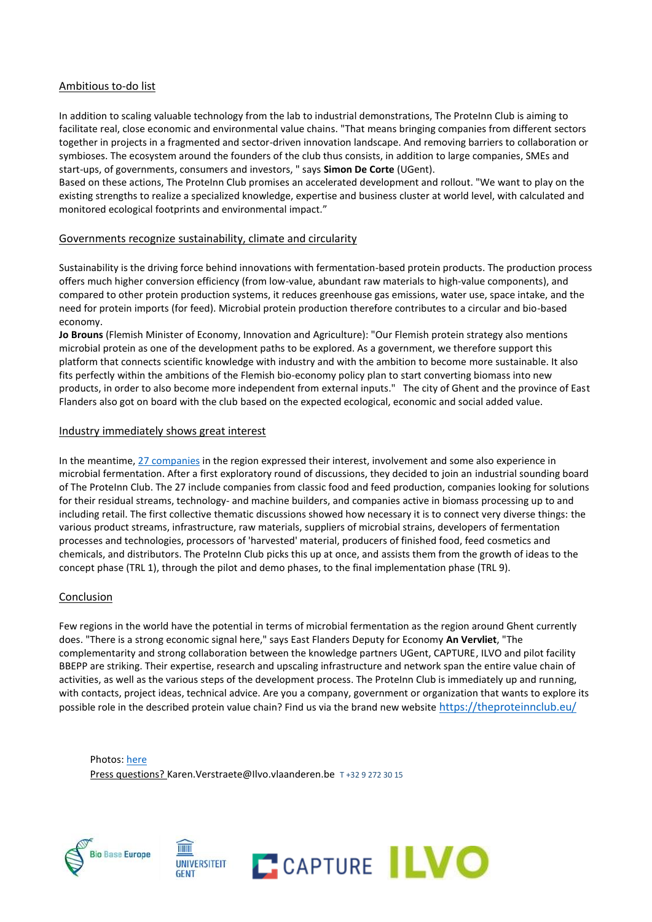#### Ambitious to-do list

In addition to scaling valuable technology from the lab to industrial demonstrations, The ProteInn Club is aiming to facilitate real, close economic and environmental value chains. "That means bringing companies from different sectors together in projects in a fragmented and sector-driven innovation landscape. And removing barriers to collaboration or symbioses. The ecosystem around the founders of the club thus consists, in addition to large companies, SMEs and start-ups, of governments, consumers and investors, " says **Simon De Corte** (UGent).

Based on these actions, The ProteInn Club promises an accelerated development and rollout. "We want to play on the existing strengths to realize a specialized knowledge, expertise and business cluster at world level, with calculated and monitored ecological footprints and environmental impact."

#### Governments recognize sustainability, climate and circularity

Sustainability is the driving force behind innovations with fermentation-based protein products. The production process offers much higher conversion efficiency (from low-value, abundant raw materials to high-value components), and compared to other protein production systems, it reduces greenhouse gas emissions, water use, space intake, and the need for protein imports (for feed). Microbial protein production therefore contributes to a circular and bio-based economy.

**Jo Brouns** (Flemish Minister of Economy, Innovation and Agriculture): "Our Flemish protein strategy also mentions microbial protein as one of the development paths to be explored. As a government, we therefore support this platform that connects scientific knowledge with industry and with the ambition to become more sustainable. It also fits perfectly within the ambitions of the Flemish bio-economy policy plan to start converting biomass into new products, in order to also become more independent from external inputs." The city of Ghent and the province of East Flanders also got on board with the club based on the expected ecological, economic and social added value.

### Industry immediately shows great interest

In the meantime, [27 companies](https://resourcespace.ilvo.be/resourcespace/pages/search.php?search=%21collection1280&k=b7e4d092b2) in the region expressed their interest, involvement and some also experience in microbial fermentation. After a first exploratory round of discussions, they decided to join an industrial sounding board of The ProteInn Club. The 27 include companies from classic food and feed production, companies looking for solutions for their residual streams, technology- and machine builders, and companies active in biomass processing up to and including retail. The first collective thematic discussions showed how necessary it is to connect very diverse things: the various product streams, infrastructure, raw materials, suppliers of microbial strains, developers of fermentation processes and technologies, processors of 'harvested' material, producers of finished food, feed cosmetics and chemicals, and distributors. The ProteInn Club picks this up at once, and assists them from the growth of ideas to the concept phase (TRL 1), through the pilot and demo phases, to the final implementation phase (TRL 9).

## Conclusion

Few regions in the world have the potential in terms of microbial fermentation as the region around Ghent currently does. "There is a strong economic signal here," says East Flanders Deputy for Economy **An Vervliet**, "The complementarity and strong collaboration between the knowledge partners UGent, CAPTURE, ILVO and pilot facility BBEPP are striking. Their expertise, research and upscaling infrastructure and network span the entire value chain of activities, as well as the various steps of the development process. The ProteInn Club is immediately up and running, with contacts, project ideas, technical advice. Are you a company, government or organization that wants to explore its possible role in the described protein value chain? Find us via the brand new website <https://theproteinnclub.eu/>

Photos[: here](https://resourcespace.ilvo.be/resourcespace/pages/search.php?search=%21collection1280&k=b7e4d092b2) Press questions? Karen.Verstraete@Ilvo.vlaanderen.be T +32 9 272 30 15